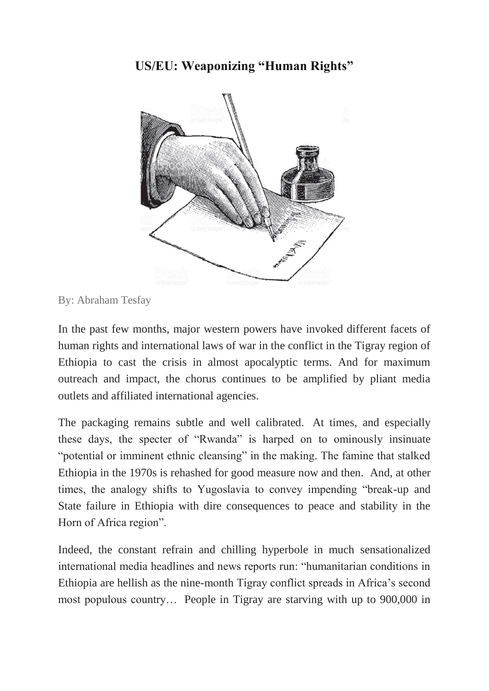## **US/EU: Weaponizing "Human Rights"**



By: Abraham Tesfay

In the past few months, major western powers have invoked different facets of human rights and international laws of war in the conflict in the Tigray region of Ethiopia to cast the crisis in almost apocalyptic terms. And for maximum outreach and impact, the chorus continues to be amplified by pliant media outlets and affiliated international agencies.

The packaging remains subtle and well calibrated. At times, and especially these days, the specter of "Rwanda" is harped on to ominously insinuate "potential or imminent ethnic cleansing" in the making. The famine that stalked Ethiopia in the 1970s is rehashed for good measure now and then. And, at other times, the analogy shifts to Yugoslavia to convey impending "break-up and State failure in Ethiopia with dire consequences to peace and stability in the Horn of Africa region".

Indeed, the constant refrain and chilling hyperbole in much sensationalized international media headlines and news reports run: "humanitarian conditions in Ethiopia are hellish as the nine-month Tigray conflict spreads in Africa's second most populous country… People in Tigray are starving with up to 900,000 in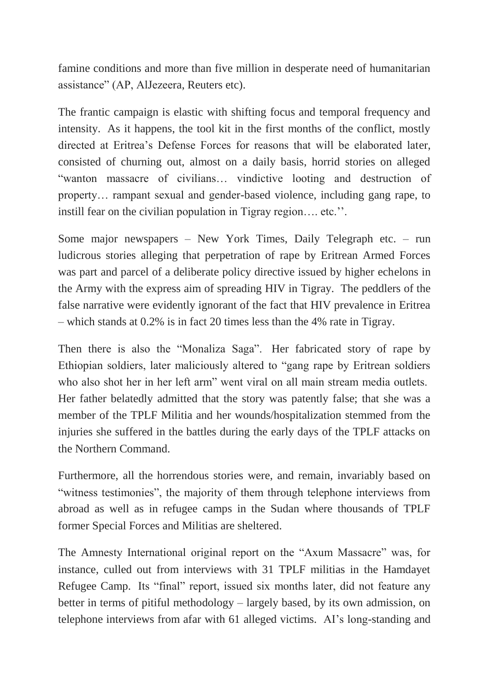famine conditions and more than five million in desperate need of humanitarian assistance" (AP, AlJezeera, Reuters etc).

The frantic campaign is elastic with shifting focus and temporal frequency and intensity. As it happens, the tool kit in the first months of the conflict, mostly directed at Eritrea's Defense Forces for reasons that will be elaborated later, consisted of churning out, almost on a daily basis, horrid stories on alleged "wanton massacre of civilians… vindictive looting and destruction of property… rampant sexual and gender-based violence, including gang rape, to instill fear on the civilian population in Tigray region…. etc.''.

Some major newspapers – New York Times, Daily Telegraph etc. – run ludicrous stories alleging that perpetration of rape by Eritrean Armed Forces was part and parcel of a deliberate policy directive issued by higher echelons in the Army with the express aim of spreading HIV in Tigray. The peddlers of the false narrative were evidently ignorant of the fact that HIV prevalence in Eritrea – which stands at 0.2% is in fact 20 times less than the 4% rate in Tigray.

Then there is also the "Monaliza Saga". Her fabricated story of rape by Ethiopian soldiers, later maliciously altered to "gang rape by Eritrean soldiers who also shot her in her left arm" went viral on all main stream media outlets. Her father belatedly admitted that the story was patently false; that she was a member of the TPLF Militia and her wounds/hospitalization stemmed from the injuries she suffered in the battles during the early days of the TPLF attacks on the Northern Command.

Furthermore, all the horrendous stories were, and remain, invariably based on "witness testimonies", the majority of them through telephone interviews from abroad as well as in refugee camps in the Sudan where thousands of TPLF former Special Forces and Militias are sheltered.

The Amnesty International original report on the "Axum Massacre" was, for instance, culled out from interviews with 31 TPLF militias in the Hamdayet Refugee Camp. Its "final" report, issued six months later, did not feature any better in terms of pitiful methodology – largely based, by its own admission, on telephone interviews from afar with 61 alleged victims. AI's long-standing and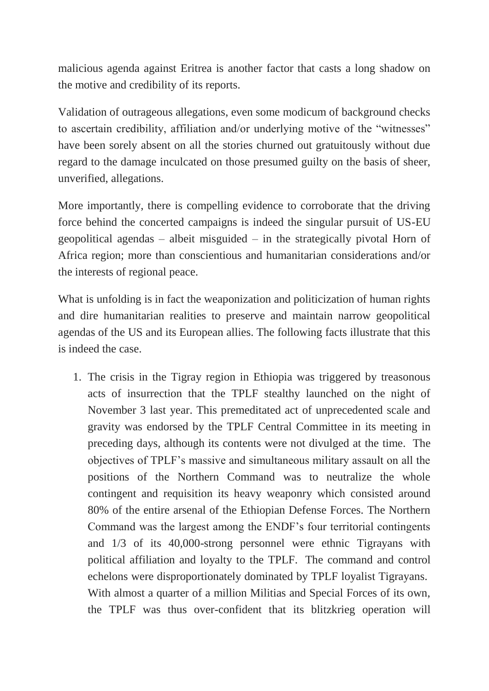malicious agenda against Eritrea is another factor that casts a long shadow on the motive and credibility of its reports.

Validation of outrageous allegations, even some modicum of background checks to ascertain credibility, affiliation and/or underlying motive of the "witnesses" have been sorely absent on all the stories churned out gratuitously without due regard to the damage inculcated on those presumed guilty on the basis of sheer, unverified, allegations.

More importantly, there is compelling evidence to corroborate that the driving force behind the concerted campaigns is indeed the singular pursuit of US-EU geopolitical agendas – albeit misguided – in the strategically pivotal Horn of Africa region; more than conscientious and humanitarian considerations and/or the interests of regional peace.

What is unfolding is in fact the weaponization and politicization of human rights and dire humanitarian realities to preserve and maintain narrow geopolitical agendas of the US and its European allies. The following facts illustrate that this is indeed the case.

1. The crisis in the Tigray region in Ethiopia was triggered by treasonous acts of insurrection that the TPLF stealthy launched on the night of November 3 last year. This premeditated act of unprecedented scale and gravity was endorsed by the TPLF Central Committee in its meeting in preceding days, although its contents were not divulged at the time. The objectives of TPLF's massive and simultaneous military assault on all the positions of the Northern Command was to neutralize the whole contingent and requisition its heavy weaponry which consisted around 80% of the entire arsenal of the Ethiopian Defense Forces. The Northern Command was the largest among the ENDF's four territorial contingents and 1/3 of its 40,000-strong personnel were ethnic Tigrayans with political affiliation and loyalty to the TPLF. The command and control echelons were disproportionately dominated by TPLF loyalist Tigrayans. With almost a quarter of a million Militias and Special Forces of its own, the TPLF was thus over-confident that its blitzkrieg operation will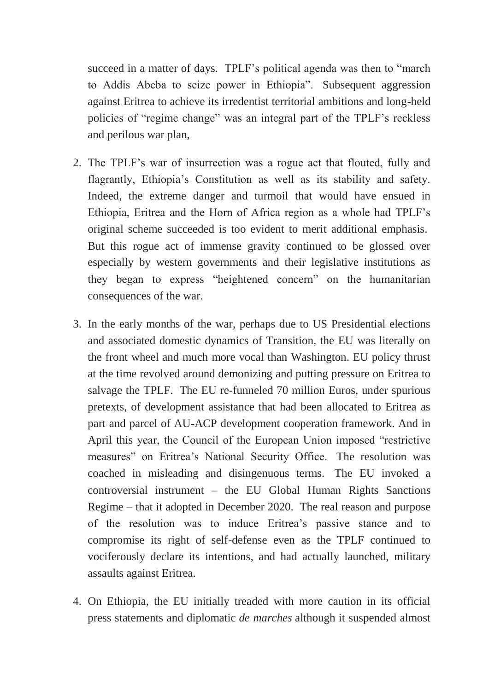succeed in a matter of days. TPLF's political agenda was then to "march to Addis Abeba to seize power in Ethiopia". Subsequent aggression against Eritrea to achieve its irredentist territorial ambitions and long-held policies of "regime change" was an integral part of the TPLF's reckless and perilous war plan,

- 2. The TPLF's war of insurrection was a rogue act that flouted, fully and flagrantly, Ethiopia's Constitution as well as its stability and safety. Indeed, the extreme danger and turmoil that would have ensued in Ethiopia, Eritrea and the Horn of Africa region as a whole had TPLF's original scheme succeeded is too evident to merit additional emphasis. But this rogue act of immense gravity continued to be glossed over especially by western governments and their legislative institutions as they began to express "heightened concern" on the humanitarian consequences of the war.
- 3. In the early months of the war, perhaps due to US Presidential elections and associated domestic dynamics of Transition, the EU was literally on the front wheel and much more vocal than Washington. EU policy thrust at the time revolved around demonizing and putting pressure on Eritrea to salvage the TPLF. The EU re-funneled 70 million Euros, under spurious pretexts, of development assistance that had been allocated to Eritrea as part and parcel of AU-ACP development cooperation framework. And in April this year, the Council of the European Union imposed "restrictive measures" on Eritrea's National Security Office. The resolution was coached in misleading and disingenuous terms. The EU invoked a controversial instrument – the EU Global Human Rights Sanctions Regime – that it adopted in December 2020. The real reason and purpose of the resolution was to induce Eritrea's passive stance and to compromise its right of self-defense even as the TPLF continued to vociferously declare its intentions, and had actually launched, military assaults against Eritrea.
- 4. On Ethiopia, the EU initially treaded with more caution in its official press statements and diplomatic *de marches* although it suspended almost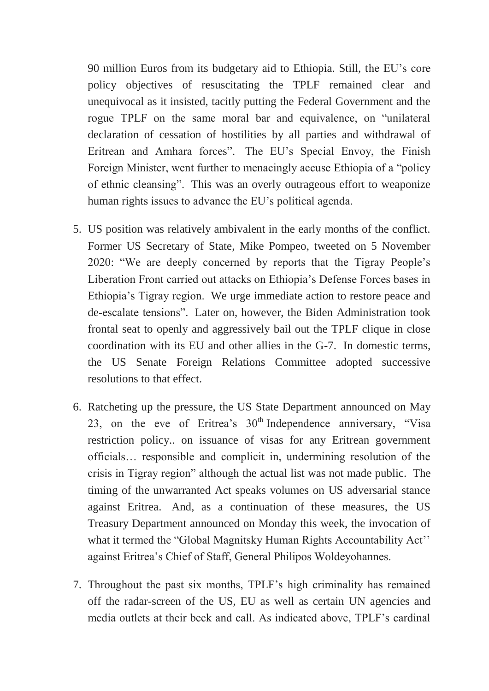90 million Euros from its budgetary aid to Ethiopia. Still, the EU's core policy objectives of resuscitating the TPLF remained clear and unequivocal as it insisted, tacitly putting the Federal Government and the rogue TPLF on the same moral bar and equivalence, on "unilateral declaration of cessation of hostilities by all parties and withdrawal of Eritrean and Amhara forces". The EU's Special Envoy, the Finish Foreign Minister, went further to menacingly accuse Ethiopia of a "policy of ethnic cleansing". This was an overly outrageous effort to weaponize human rights issues to advance the EU's political agenda.

- 5. US position was relatively ambivalent in the early months of the conflict. Former US Secretary of State, Mike Pompeo, tweeted on 5 November 2020: "We are deeply concerned by reports that the Tigray People's Liberation Front carried out attacks on Ethiopia's Defense Forces bases in Ethiopia's Tigray region. We urge immediate action to restore peace and de-escalate tensions". Later on, however, the Biden Administration took frontal seat to openly and aggressively bail out the TPLF clique in close coordination with its EU and other allies in the G-7. In domestic terms, the US Senate Foreign Relations Committee adopted successive resolutions to that effect.
- 6. Ratcheting up the pressure, the US State Department announced on May 23, on the eve of Eritrea's  $30<sup>th</sup>$  Independence anniversary, "Visa restriction policy.. on issuance of visas for any Eritrean government officials… responsible and complicit in, undermining resolution of the crisis in Tigray region" although the actual list was not made public. The timing of the unwarranted Act speaks volumes on US adversarial stance against Eritrea. And, as a continuation of these measures, the US Treasury Department announced on Monday this week, the invocation of what it termed the "Global Magnitsky Human Rights Accountability Act'' against Eritrea's Chief of Staff, General Philipos Woldeyohannes.
- 7. Throughout the past six months, TPLF's high criminality has remained off the radar-screen of the US, EU as well as certain UN agencies and media outlets at their beck and call. As indicated above, TPLF's cardinal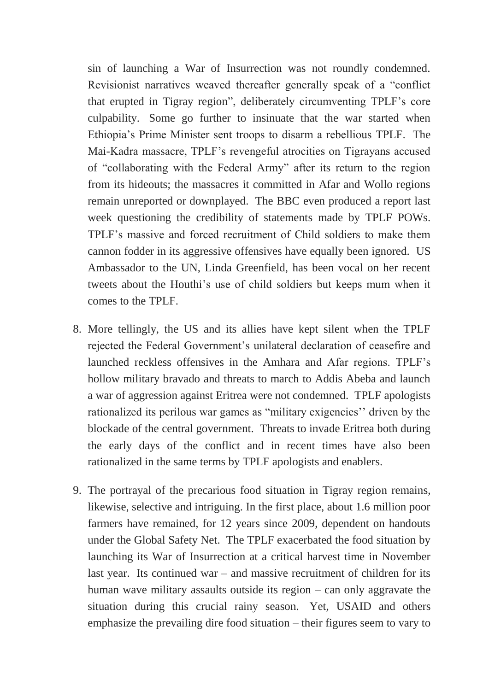sin of launching a War of Insurrection was not roundly condemned. Revisionist narratives weaved thereafter generally speak of a "conflict that erupted in Tigray region", deliberately circumventing TPLF's core culpability. Some go further to insinuate that the war started when Ethiopia's Prime Minister sent troops to disarm a rebellious TPLF. The Mai-Kadra massacre, TPLF's revengeful atrocities on Tigrayans accused of "collaborating with the Federal Army" after its return to the region from its hideouts; the massacres it committed in Afar and Wollo regions remain unreported or downplayed. The BBC even produced a report last week questioning the credibility of statements made by TPLF POWs. TPLF's massive and forced recruitment of Child soldiers to make them cannon fodder in its aggressive offensives have equally been ignored. US Ambassador to the UN, Linda Greenfield, has been vocal on her recent tweets about the Houthi's use of child soldiers but keeps mum when it comes to the TPLF.

- 8. More tellingly, the US and its allies have kept silent when the TPLF rejected the Federal Government's unilateral declaration of ceasefire and launched reckless offensives in the Amhara and Afar regions. TPLF's hollow military bravado and threats to march to Addis Abeba and launch a war of aggression against Eritrea were not condemned. TPLF apologists rationalized its perilous war games as "military exigencies'' driven by the blockade of the central government. Threats to invade Eritrea both during the early days of the conflict and in recent times have also been rationalized in the same terms by TPLF apologists and enablers.
- 9. The portrayal of the precarious food situation in Tigray region remains, likewise, selective and intriguing. In the first place, about 1.6 million poor farmers have remained, for 12 years since 2009, dependent on handouts under the Global Safety Net. The TPLF exacerbated the food situation by launching its War of Insurrection at a critical harvest time in November last year. Its continued war – and massive recruitment of children for its human wave military assaults outside its region – can only aggravate the situation during this crucial rainy season. Yet, USAID and others emphasize the prevailing dire food situation – their figures seem to vary to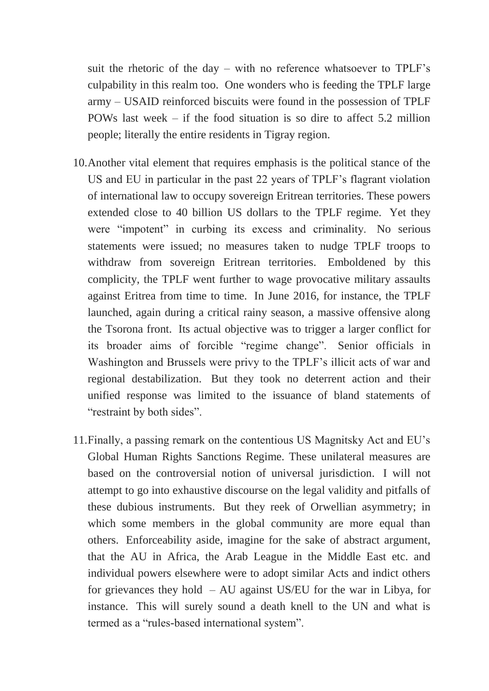suit the rhetoric of the day – with no reference whatsoever to TPLF's culpability in this realm too. One wonders who is feeding the TPLF large army – USAID reinforced biscuits were found in the possession of TPLF POWs last week – if the food situation is so dire to affect 5.2 million people; literally the entire residents in Tigray region.

- 10.Another vital element that requires emphasis is the political stance of the US and EU in particular in the past 22 years of TPLF's flagrant violation of international law to occupy sovereign Eritrean territories. These powers extended close to 40 billion US dollars to the TPLF regime. Yet they were "impotent" in curbing its excess and criminality. No serious statements were issued; no measures taken to nudge TPLF troops to withdraw from sovereign Eritrean territories. Emboldened by this complicity, the TPLF went further to wage provocative military assaults against Eritrea from time to time. In June 2016, for instance, the TPLF launched, again during a critical rainy season, a massive offensive along the Tsorona front. Its actual objective was to trigger a larger conflict for its broader aims of forcible "regime change". Senior officials in Washington and Brussels were privy to the TPLF's illicit acts of war and regional destabilization. But they took no deterrent action and their unified response was limited to the issuance of bland statements of "restraint by both sides".
- 11.Finally, a passing remark on the contentious US Magnitsky Act and EU's Global Human Rights Sanctions Regime. These unilateral measures are based on the controversial notion of universal jurisdiction. I will not attempt to go into exhaustive discourse on the legal validity and pitfalls of these dubious instruments. But they reek of Orwellian asymmetry; in which some members in the global community are more equal than others. Enforceability aside, imagine for the sake of abstract argument, that the AU in Africa, the Arab League in the Middle East etc. and individual powers elsewhere were to adopt similar Acts and indict others for grievances they hold  $- AU$  against US/EU for the war in Libya, for instance. This will surely sound a death knell to the UN and what is termed as a "rules-based international system".